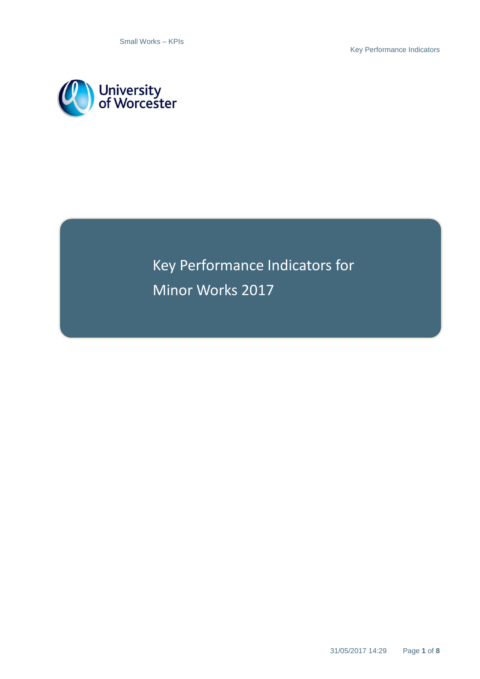Key Performance Indicators



Key Performance Indicators for Minor Works 2017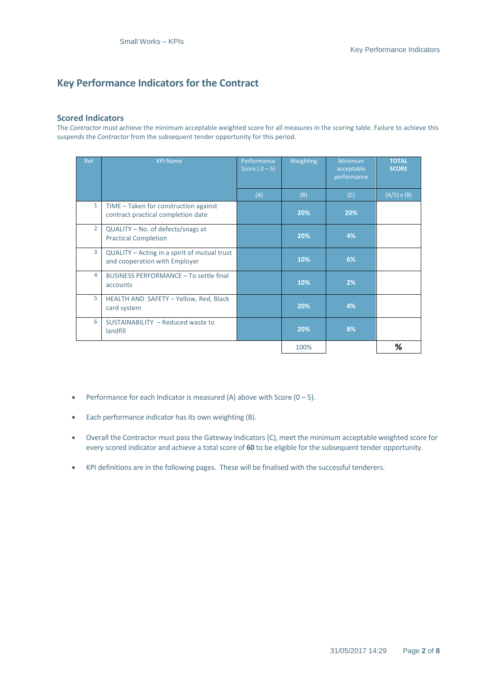# **Key Performance Indicators for the Contract**

#### **Scored Indicators**

The *Contractor* must achieve the minimum acceptable weighted score for all measures in the scoring table. Failure to achieve this suspends the *Contractor* from the subsequent tender opportunity for this period.

| <b>Ref</b>     | <b>KPI Name</b>                                                               | Performance<br>Score $(0-5)$ | Weighting | <b>Minimum</b><br>acceptable<br>performance | <b>TOTAL</b><br><b>SCORE</b> |
|----------------|-------------------------------------------------------------------------------|------------------------------|-----------|---------------------------------------------|------------------------------|
|                |                                                                               | (A)                          | (B)       | (C)                                         | $(A/5) \times (B)$           |
| $\mathbf{1}$   | TIME - Taken for construction against<br>contract practical completion date   |                              | 20%       | 20%                                         |                              |
| $\overline{2}$ | QUALITY - No. of defects/snags at<br><b>Practical Completion</b>              |                              | 20%       | 4%                                          |                              |
| 3              | QUALITY – Acting in a spirit of mutual trust<br>and cooperation with Employer |                              | 10%       | 6%                                          |                              |
| 4              | BUSINESS PERFORMANCE - To settle final<br>accounts                            |                              | 10%       | 2%                                          |                              |
| 5              | HEALTH AND SAFETY - Yellow, Red, Black<br>card system                         |                              | 20%       | 4%                                          |                              |
| 6              | SUSTAINABILITY - Reduced waste to<br>landfill                                 |                              | 20%       | 8%                                          |                              |
|                |                                                                               |                              | 100%      |                                             | %                            |

- Performance for each Indicator is measured (A) above with Score  $(0 5)$ .
- Each performance indicator has its own weighting (B).
- Overall the Contractor must pass the Gateway Indicators (C), meet the minimum acceptable weighted score for every scored indicator and achieve a total score of **60** to be eligible for the subsequent tender opportunity.
- KPI definitions are in the following pages. These will be finalised with the successful tenderers.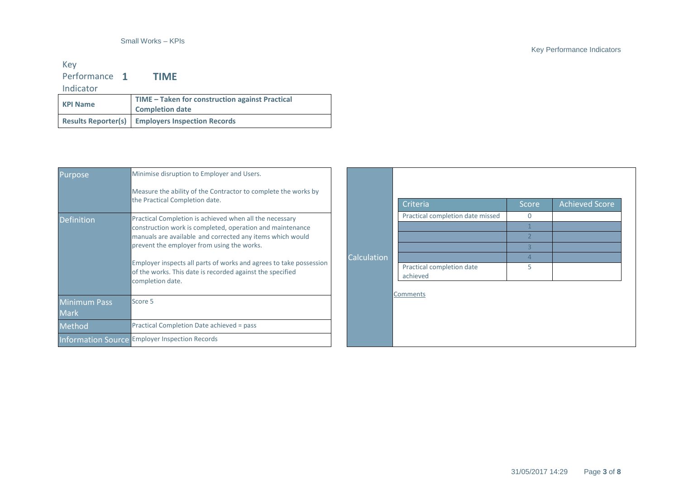#### Key Performance 1 **1 TIME**

Indicator

| TIME - Taken for construction against Practical<br><b>KPI Name</b><br><b>Completion date</b> |                                                         |
|----------------------------------------------------------------------------------------------|---------------------------------------------------------|
|                                                                                              | <b>Results Reporter(s)</b> Employers Inspection Records |

| Purpose,                           | Minimise disruption to Employer and Users.                                                                                                                                                                                                                                                                                                                                             |             |                                                                           |     |
|------------------------------------|----------------------------------------------------------------------------------------------------------------------------------------------------------------------------------------------------------------------------------------------------------------------------------------------------------------------------------------------------------------------------------------|-------------|---------------------------------------------------------------------------|-----|
|                                    | Measure the ability of the Contractor to complete the works by<br>the Practical Completion date.                                                                                                                                                                                                                                                                                       |             | Criteria                                                                  | Scc |
| <b>Definition</b>                  | Practical Completion is achieved when all the necessary<br>construction work is completed, operation and maintenance<br>manuals are available and corrected any items which would<br>prevent the employer from using the works.<br>Employer inspects all parts of works and agrees to take possession<br>of the works. This date is recorded against the specified<br>completion date. | Calculation | Practical completion date missed<br>Practical completion date<br>achieved | 0   |
| <b>Minimum Pass</b><br><b>Mark</b> | Score 5                                                                                                                                                                                                                                                                                                                                                                                |             | <b>Comments</b>                                                           |     |
| Method                             | Practical Completion Date achieved = pass                                                                                                                                                                                                                                                                                                                                              |             |                                                                           |     |
|                                    | Information Source Employer Inspection Records                                                                                                                                                                                                                                                                                                                                         |             |                                                                           |     |

### Key Performance Indicators

Score | Achieved Score

5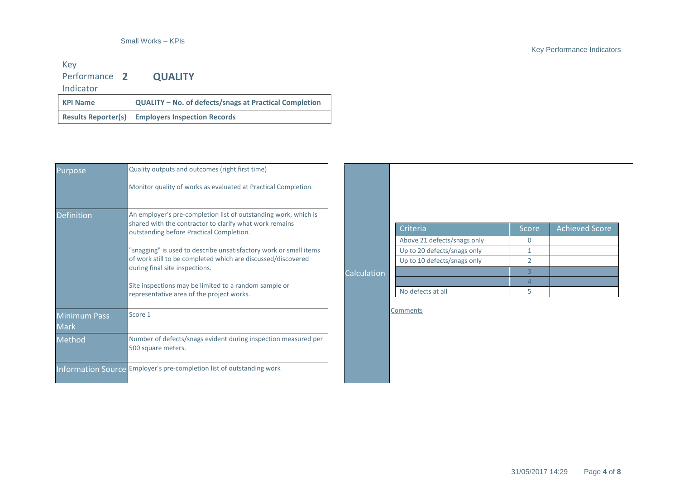## Key Performance **2 QUALITY**

Indicator

| <b>KPI Name</b> | QUALITY - No. of defects/snags at Practical Completion    |
|-----------------|-----------------------------------------------------------|
|                 | <b>Results Reporter(s)   Employers Inspection Records</b> |

| Purpose                            | Quality outputs and outcomes (right first time)<br>Monitor quality of works as evaluated at Practical Completion.                                                      |             |                             |                |                |
|------------------------------------|------------------------------------------------------------------------------------------------------------------------------------------------------------------------|-------------|-----------------------------|----------------|----------------|
| <b>Definition</b>                  | An employer's pre-completion list of outstanding work, which is<br>shared with the contractor to clarify what work remains<br>outstanding before Practical Completion. |             | Criteria                    | Score          | Achieved Score |
|                                    | "snagging" is used to describe unsatisfactory work or small items                                                                                                      |             | Above 21 defects/snags only | $\mathbf 0$    |                |
|                                    | of work still to be completed which are discussed/discovered                                                                                                           |             | Up to 20 defects/snags only | 1              |                |
|                                    | during final site inspections.                                                                                                                                         |             | Up to 10 defects/snags only | 2              |                |
|                                    |                                                                                                                                                                        | Calculation |                             | 3              |                |
|                                    | Site inspections may be limited to a random sample or                                                                                                                  |             |                             | $\overline{4}$ |                |
|                                    | representative area of the project works.                                                                                                                              |             | No defects at all           | 5              |                |
| <b>Minimum Pass</b><br><b>Mark</b> | Score 1                                                                                                                                                                |             | Comments                    |                |                |
| Method                             | Number of defects/snags evident during inspection measured per<br>500 square meters.                                                                                   |             |                             |                |                |
|                                    | Information Source Employer's pre-completion list of outstanding work                                                                                                  |             |                             |                |                |

### Key Performance Indicators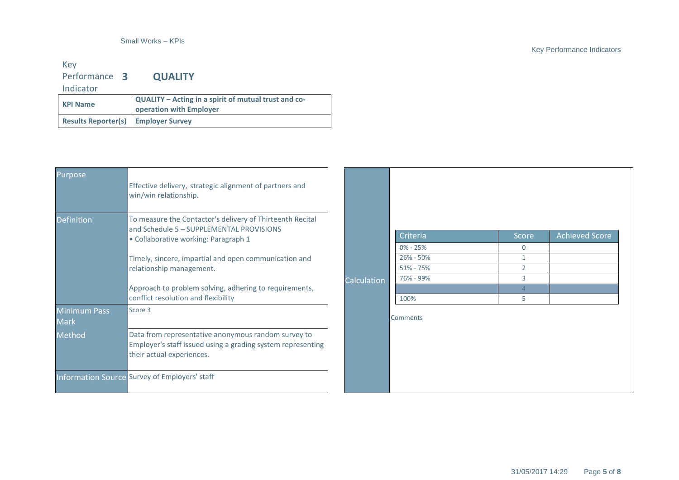#### Key Performance **3 QUALITY**

Indicator

| QUALITY – Acting in a spirit of mutual trust and co-<br><b>KPI Name</b><br>operation with Employer |  |
|----------------------------------------------------------------------------------------------------|--|
| <b>Results Reporter(s)   Employer Survey</b>                                                       |  |

| Purpose                            | Effective delivery, strategic alignment of partners and<br>win/win relationship.                                                                |             |                                            |                            |                       |
|------------------------------------|-------------------------------------------------------------------------------------------------------------------------------------------------|-------------|--------------------------------------------|----------------------------|-----------------------|
| <b>Definition</b>                  | To measure the Contactor's delivery of Thirteenth Recital<br>and Schedule 5 - SUPPLEMENTAL PROVISIONS<br>· Collaborative working: Paragraph 1   |             | Criteria                                   | Score                      | <b>Achieved Score</b> |
|                                    | Timely, sincere, impartial and open communication and<br>relationship management.                                                               |             | $0\% - 25\%$<br>26% - 50%<br>$51\% - 75\%$ | $\Omega$<br>$\overline{2}$ |                       |
|                                    | Approach to problem solving, adhering to requirements,<br>conflict resolution and flexibility                                                   | Calculation | 76% - 99%<br>100%                          | 3<br>5                     |                       |
| <b>Minimum Pass</b><br><b>Mark</b> | Score 3                                                                                                                                         |             | <b>Comments</b>                            |                            |                       |
| Method                             | Data from representative anonymous random survey to<br>Employer's staff issued using a grading system representing<br>their actual experiences. |             |                                            |                            |                       |
|                                    | Information Source Survey of Employers' staff                                                                                                   |             |                                            |                            |                       |

### Key Performance Indicators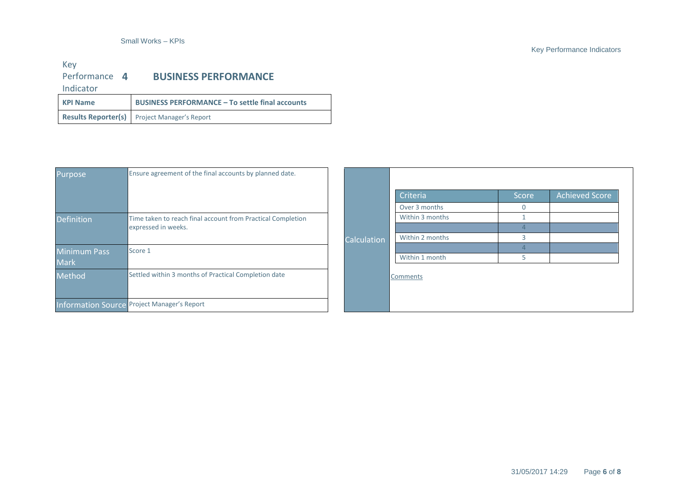#### Key Performance Indicators

#### Key Performance 4 Indicator **4 BUSINESS PERFORMANCE KPI Name BUSINESS PERFORMANCE – To settle final accounts**

| <b>INFITTE</b> | <b>BUSINESS FEINI UNIVIATIVEL</b> TO SETTIE IMAI ACCOMMIS |  |
|----------------|-----------------------------------------------------------|--|
|                | Results Reporter(s) Project Manager's Report              |  |

| <b>Purpose</b>      | Ensure agreement of the final accounts by planned date.     |  |             |                 |       |                       |
|---------------------|-------------------------------------------------------------|--|-------------|-----------------|-------|-----------------------|
|                     |                                                             |  |             | Criteria        | Score | <b>Achieved Score</b> |
|                     |                                                             |  |             | Over 3 months   |       |                       |
| <b>Definition</b>   | Time taken to reach final account from Practical Completion |  |             | Within 3 months |       |                       |
|                     | expressed in weeks.                                         |  | Calculation |                 |       |                       |
|                     |                                                             |  |             | Within 2 months |       |                       |
| <b>Minimum Pass</b> | Score 1                                                     |  |             |                 |       |                       |
| <b>Mark</b>         |                                                             |  |             | Within 1 month  |       |                       |
| Method              | Settled within 3 months of Practical Completion date        |  |             | Comments        |       |                       |
|                     | <b>Information Source Project Manager's Report</b>          |  |             |                 |       |                       |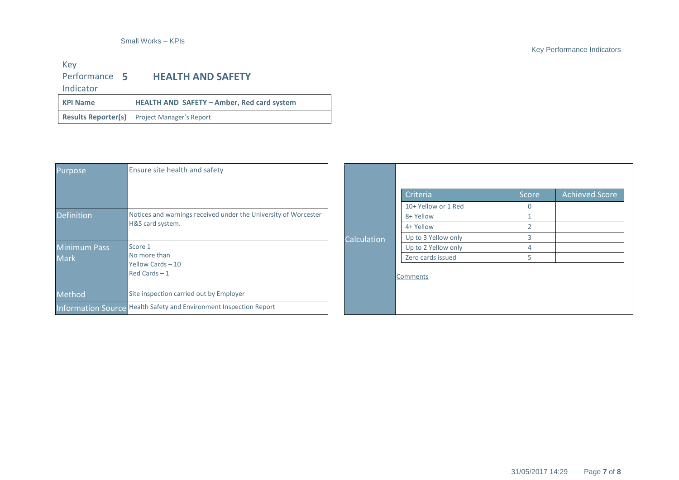### Key Performance Indicators

# Key<br>Performance 5 **HEALTH AND SAFETY**

Indicator

| <b>KPI Name</b> | HEALTH AND SAFETY - Amber, Red card system          |
|-----------------|-----------------------------------------------------|
|                 | <b>Results Reporter(s)</b> Project Manager's Report |

| Purpose             | Ensure site health and safety                                                       |             |                     |              |                       |
|---------------------|-------------------------------------------------------------------------------------|-------------|---------------------|--------------|-----------------------|
|                     |                                                                                     |             | Criteria            | <b>Score</b> | <b>Achieved Score</b> |
|                     |                                                                                     |             | 10+ Yellow or 1 Red | $\mathbf 0$  |                       |
| <b>Definition</b>   | Notices and warnings received under the University of Worcester<br>H&S card system. | Calculation | 8+ Yellow           |              |                       |
|                     |                                                                                     |             | 4+ Yellow           |              |                       |
|                     |                                                                                     |             | Up to 3 Yellow only |              |                       |
| <b>Minimum Pass</b> | Score 1                                                                             |             | Up to 2 Yellow only | 4            |                       |
| <b>Mark</b>         | No more than                                                                        |             | Zero cards issued   | 5            |                       |
|                     | Yellow Cards - 10<br>$Red$ Cards $-1$                                               |             | Comments            |              |                       |
| Method              | Site inspection carried out by Employer                                             |             |                     |              |                       |
|                     | Information Source Health Safety and Environment Inspection Report                  |             |                     |              |                       |